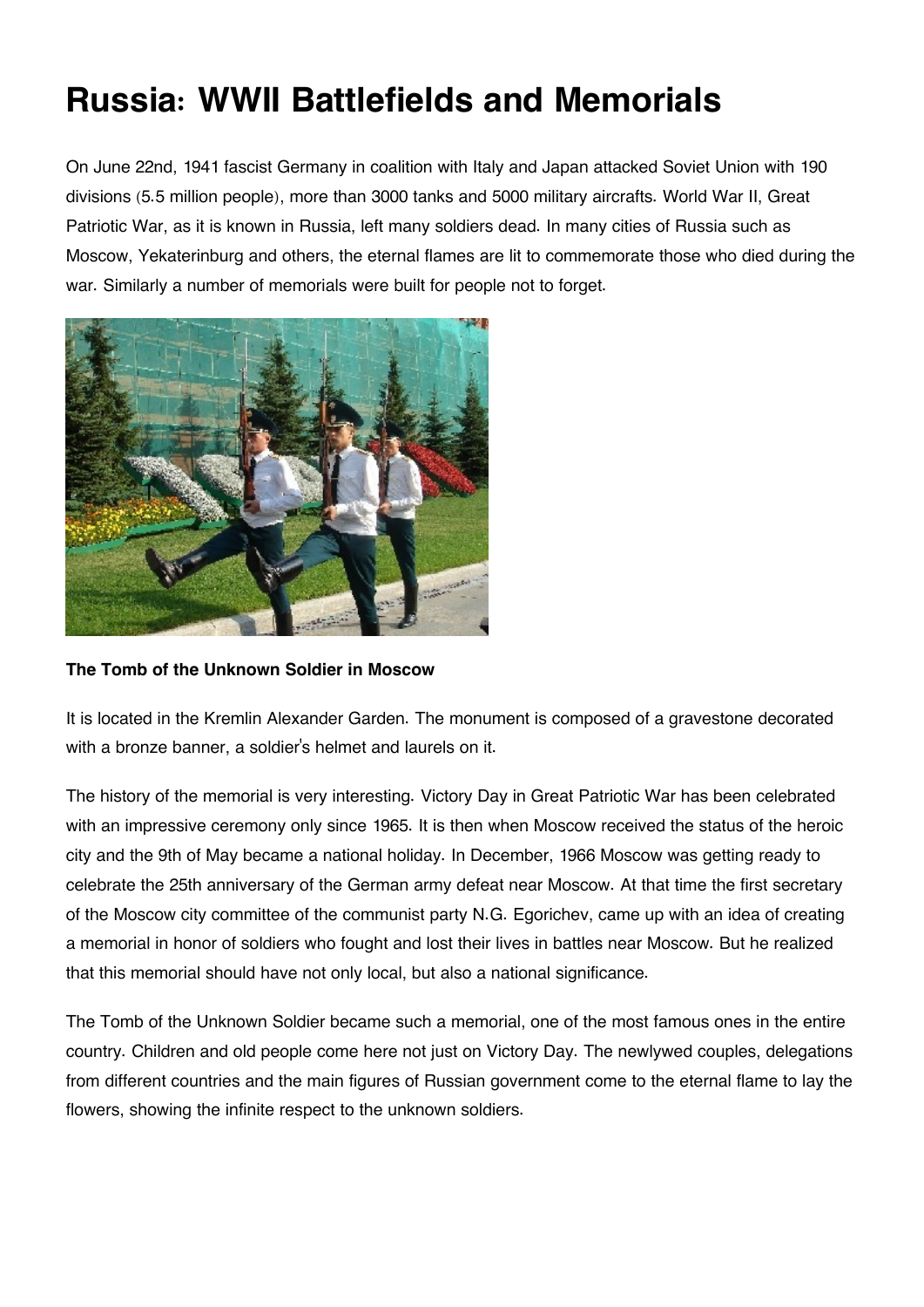## **Russia: WWII Battlefields and Memorials**

On June 22nd, 1941 fascist Germany in coalition with Italy and Japan attacked Soviet Union with 190 divisions (5.5 million people), more than 3000 tanks and 5000 military aircrafts. World War II, Great Patriotic War, as it is known in Russia, left many soldiers dead. In many cities of Russia such as Moscow, Yekaterinburg and others, the eternal flames are lit to commemorate those who died during the war. Similarly a number of memorials were built for people not to forget.



**The Tomb of the Unknown Soldier in Moscow**

It is located in the Kremlin Alexander Garden. The monument is composed of a gravestone decorated with a bronze banner, a soldier's helmet and laurels on it.

The history of the memorial is very interesting. Victory Day in Great Patriotic War has been celebrated with an impressive ceremony only since 1965. It is then when Moscow received the status of the heroic city and the 9th of May became a national holiday. In December, 1966 Moscow was getting ready to celebrate the 25th anniversary of the German army defeat near Moscow. At that time the first secretary of the Moscow city committee of the communist party N.G. Egorichev, came up with an idea of creating a memorial in honor of soldiers who fought and lost their lives in battles near Moscow. But he realized that this memorial should have not only local, but also a national significance.

The Tomb of the Unknown Soldier became such a memorial, one of the most famous ones in the entire country. Children and old people come here not just on Victory Day. The newlywed couples, delegations from different countries and the main figures of Russian government come to the eternal flame to lay the flowers, showing the infinite respect to the unknown soldiers.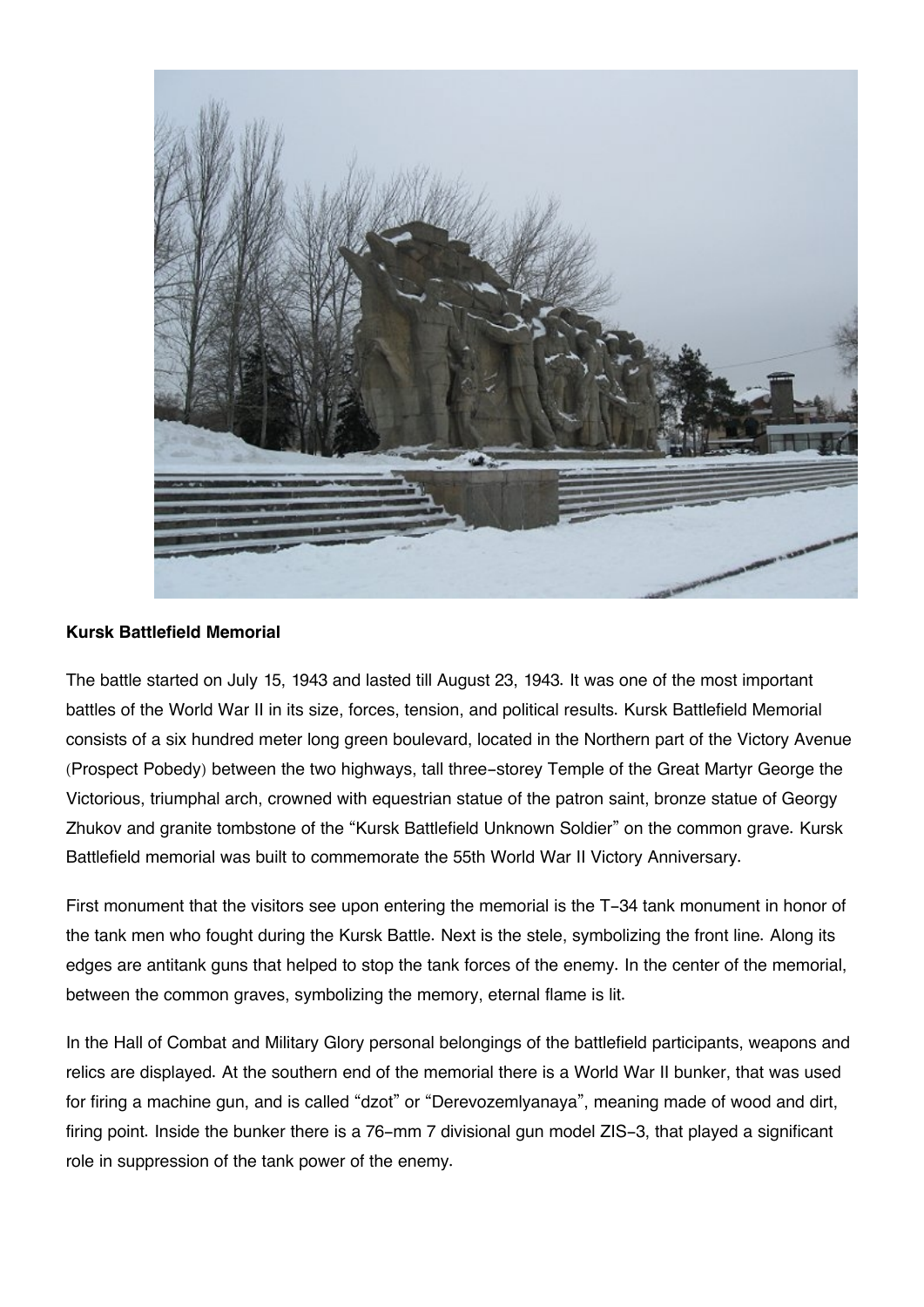

## **Kursk Battlefield Memorial**

The battle started on July 15, 1943 and lasted till August 23, 1943. It was one of the most important battles of the World War II in its size, forces, tension, and political results. Kursk Battlefield Memorial consists of a six hundred meter long green boulevard, located in the Northern part of the Victory Avenue (Prospect Pobedy) between the two highways, tall three-storey Temple of the Great Martyr George the Victorious, triumphal arch, crowned with equestrian statue of the patron saint, bronze statue of Georgy Zhukov and granite tombstone of the "Kursk Battlefield Unknown Soldier" on the common grave. Kursk Battlefield memorial was built to commemorate the 55th World War II Victory Anniversary.

First monument that the visitors see upon entering the memorial is the T-34 tank monument in honor of the tank men who fought during the Kursk Battle. Next is the stele, symbolizing the front line. Along its edges are antitank guns that helped to stop the tank forces of the enemy. In the center of the memorial, between the common graves, symbolizing the memory, eternal flame is lit.

In the Hall of Combat and Military Glory personal belongings of the battlefield participants, weapons and relics are displayed. At the southern end of the memorial there is a World War II bunker, that was used for firing a machine gun, and is called "dzot" or "Derevozemlyanaya", meaning made of wood and dirt, firing point. Inside the bunker there is a 76-mm 7 divisional gun model ZIS-3, that played a significant role in suppression of the tank power of the enemy.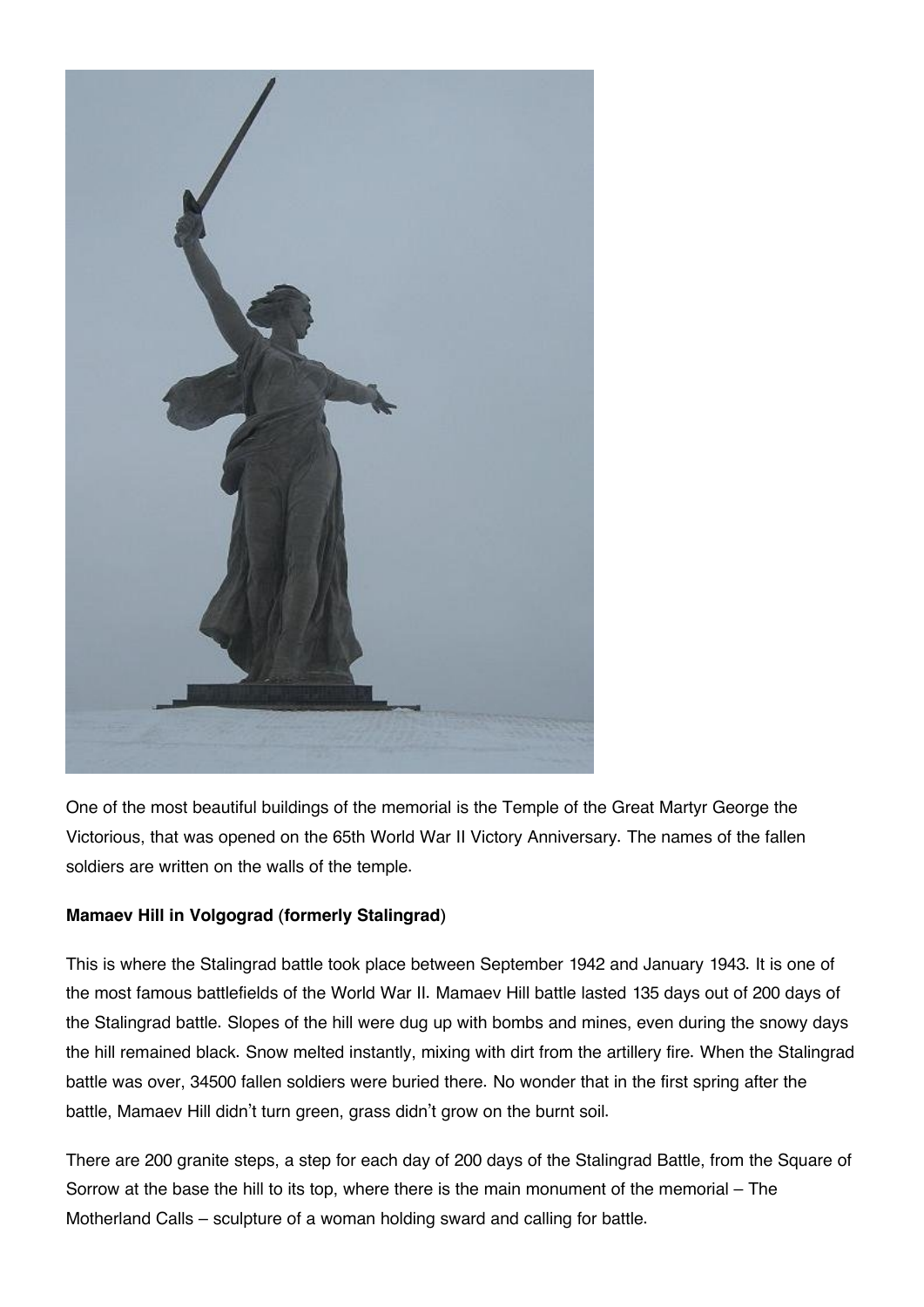

One of the most beautiful buildings of the memorial is the Temple of the Great Martyr George the Victorious, that was opened on the 65th World War II Victory Anniversary. The names of the fallen soldiers are written on the walls of the temple.

## **Mamaev Hill in Volgograd (formerly Stalingrad)**

This is where the Stalingrad battle took place between September 1942 and January 1943. It is one of the most famous battlefields of the World War II. Mamaev Hill battle lasted 135 days out of 200 days of the Stalingrad battle. Slopes of the hill were dug up with bombs and mines, even during the snowy days the hill remained black. Snow melted instantly, mixing with dirt from the artillery fire. When the Stalingrad battle was over, 34500 fallen soldiers were buried there. No wonder that in the first spring after the battle, Mamaev Hill didn't turn green, grass didn't grow on the burnt soil.

There are 200 granite steps, a step for each day of 200 days of the Stalingrad Battle, from the Square of Sorrow at the base the hill to its top, where there is the main monument of the memorial – The Motherland Calls – sculpture of a woman holding sward and calling for battle.